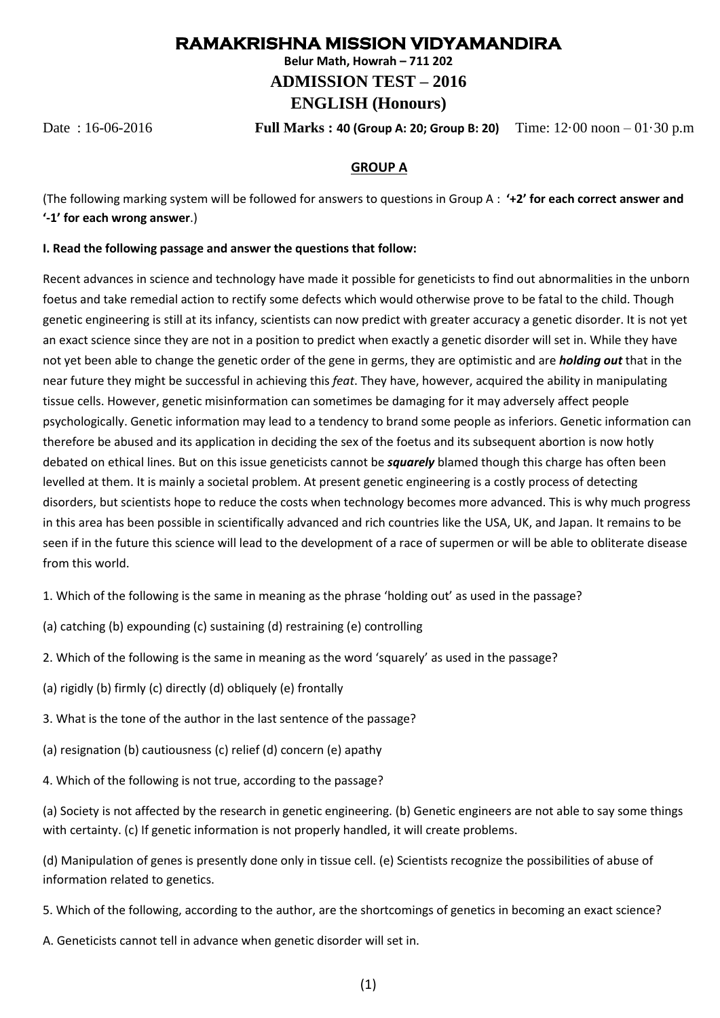# **RAMAKRISHNA MISSION VIDYAMANDIRA**

**Belur Math, Howrah – 711 202**

**ADMISSION TEST – 2016**

# **ENGLISH (Honours)**

Date : 16-06-2016 **Full Marks : 40 (Group A: 20; Group B: 20)** Time: 12·00 noon – 01·30 p.m

### **GROUP A**

(The following marking system will be followed for answers to questions in Group A : **'+2' for each correct answer and '-1' for each wrong answer**.)

### **I. Read the following passage and answer the questions that follow:**

Recent advances in science and technology have made it possible for geneticists to find out abnormalities in the unborn foetus and take remedial action to rectify some defects which would otherwise prove to be fatal to the child. Though genetic engineering is still at its infancy, scientists can now predict with greater accuracy a genetic disorder. It is not yet an exact science since they are not in a position to predict when exactly a genetic disorder will set in. While they have not yet been able to change the genetic order of the gene in germs, they are optimistic and are *holding out* that in the near future they might be successful in achieving this *feat*. They have, however, acquired the ability in manipulating tissue cells. However, genetic misinformation can sometimes be damaging for it may adversely affect people psychologically. Genetic information may lead to a tendency to brand some people as inferiors. Genetic information can therefore be abused and its application in deciding the sex of the foetus and its subsequent abortion is now hotly debated on ethical lines. But on this issue geneticists cannot be *squarely* blamed though this charge has often been levelled at them. It is mainly a societal problem. At present genetic engineering is a costly process of detecting disorders, but scientists hope to reduce the costs when technology becomes more advanced. This is why much progress in this area has been possible in scientifically advanced and rich countries like the USA, UK, and Japan. It remains to be seen if in the future this science will lead to the development of a race of supermen or will be able to obliterate disease from this world.

1. Which of the following is the same in meaning as the phrase 'holding out' as used in the passage?

- (a) catching (b) expounding (c) sustaining (d) restraining (e) controlling
- 2. Which of the following is the same in meaning as the word 'squarely' as used in the passage?
- (a) rigidly (b) firmly (c) directly (d) obliquely (e) frontally
- 3. What is the tone of the author in the last sentence of the passage?
- (a) resignation (b) cautiousness (c) relief (d) concern (e) apathy
- 4. Which of the following is not true, according to the passage?

(a) Society is not affected by the research in genetic engineering. (b) Genetic engineers are not able to say some things with certainty. (c) If genetic information is not properly handled, it will create problems.

(d) Manipulation of genes is presently done only in tissue cell. (e) Scientists recognize the possibilities of abuse of information related to genetics.

- 5. Which of the following, according to the author, are the shortcomings of genetics in becoming an exact science?
- A. Geneticists cannot tell in advance when genetic disorder will set in.